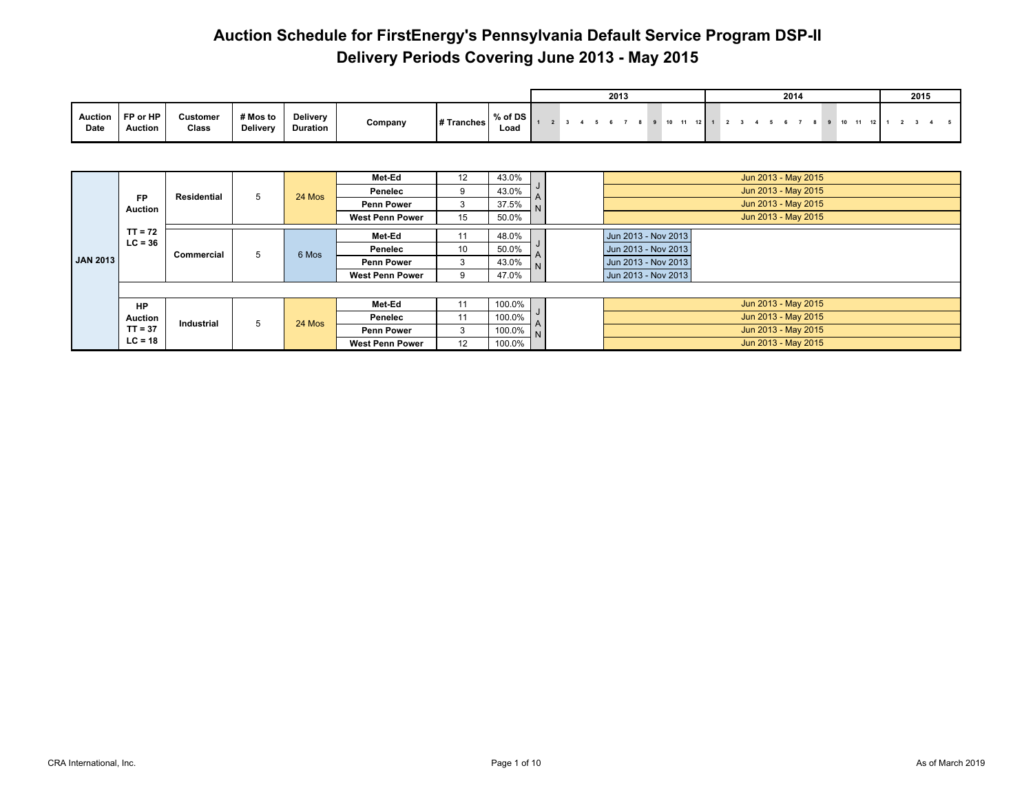|                   |                            |                   |                             |                             |         |            |                 |  |  | 2013 |  |       |                 |             |  | 2014 |  |         |  | 2015 |  |
|-------------------|----------------------------|-------------------|-----------------------------|-----------------------------|---------|------------|-----------------|--|--|------|--|-------|-----------------|-------------|--|------|--|---------|--|------|--|
| Auction  <br>Date | FP or HP<br><b>Auction</b> | Customer<br>Class | # Mos to<br><b>Delivery</b> | Delivery<br><b>Duration</b> | Company | # Tranches | % of DS<br>Load |  |  |      |  | 10 11 | 12 <sup>1</sup> | $2 \t3 \t4$ |  | 567  |  | 9 10 11 |  |      |  |

|                 | <b>FP</b><br><b>Auction</b> | <b>Residential</b> | 5 | 24 Mos | Met-Ed<br>Penelec<br><b>Penn Power</b> | 12<br>3 | 43.0%<br>43.0%<br>37.5% |                | Jun 2013 - May 2015<br>Jun 2013 - May 2015<br>Jun 2013 - May 2015 |
|-----------------|-----------------------------|--------------------|---|--------|----------------------------------------|---------|-------------------------|----------------|-------------------------------------------------------------------|
|                 |                             |                    |   |        | <b>West Penn Power</b>                 | 15      | 50.0%                   |                | Jun 2013 - May 2015                                               |
|                 | $TT = 72$<br>$LC = 36$      |                    |   |        | Met-Ed                                 |         | 48.0%                   |                | Jun 2013 - Nov 2013                                               |
|                 |                             |                    |   |        | Penelec                                | 10      | 50.0%                   |                | Jun 2013 - Nov 2013                                               |
| <b>JAN 2013</b> |                             | Commercial         | 5 | 6 Mos  | <b>Penn Power</b>                      |         | 43.0%                   |                | Jun 2013 - Nov 2013                                               |
|                 |                             |                    |   |        | <b>West Penn Power</b>                 | 9       | 47.0%                   |                | Jun 2013 - Nov 2013                                               |
|                 |                             |                    |   |        |                                        |         |                         |                |                                                                   |
|                 | <b>HP</b>                   |                    |   |        | Met-Ed                                 | 11      | 100.0%                  |                | Jun 2013 - May 2015                                               |
|                 | <b>Auction</b>              | Industrial         | 5 | 24 Mos | Penelec                                | 11      | 100.0%                  |                | Jun 2013 - May 2015                                               |
|                 | $TT = 37$                   |                    |   |        | <b>Penn Power</b>                      | 3       | 100.0%                  | $\overline{M}$ | Jun 2013 - May 2015                                               |
|                 | $LC = 18$                   |                    |   |        | <b>West Penn Power</b>                 | 12      | 100.0%                  |                | Jun 2013 - May 2015                                               |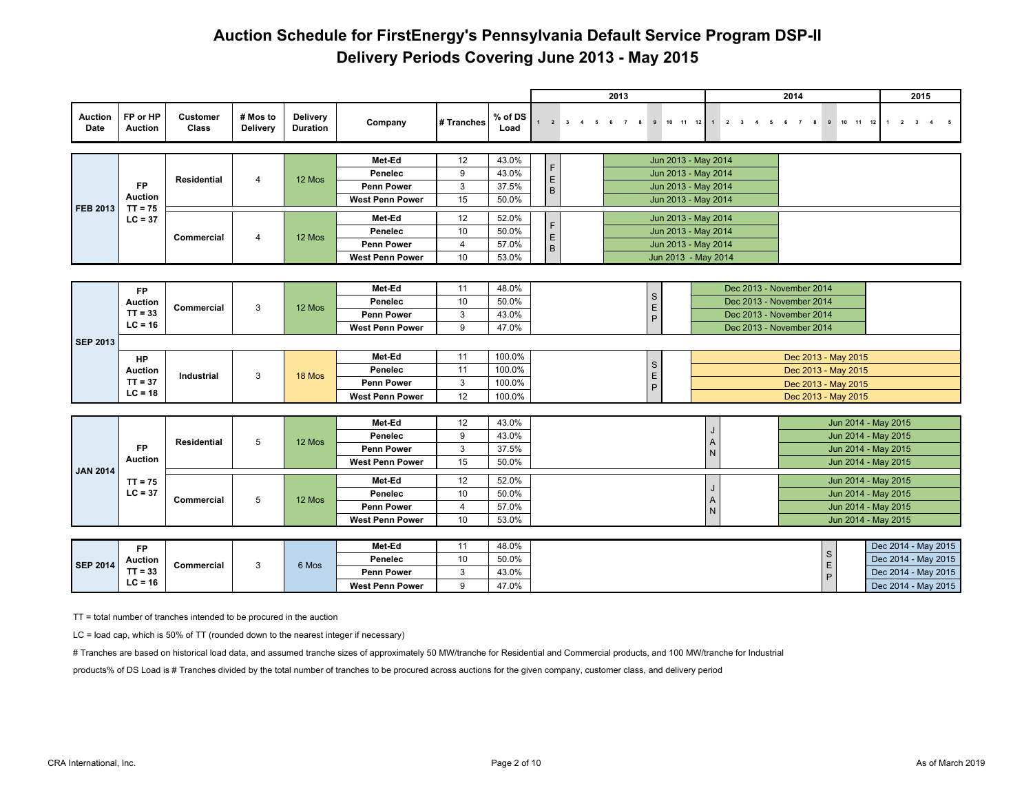|                        |                             |                          |                             |                             |                              |                |                 |                                |                         |                         | 2013 |                    |                                            |                |              | 2014 |                          |                     |  |                                           | 2015                    |  |
|------------------------|-----------------------------|--------------------------|-----------------------------|-----------------------------|------------------------------|----------------|-----------------|--------------------------------|-------------------------|-------------------------|------|--------------------|--------------------------------------------|----------------|--------------|------|--------------------------|---------------------|--|-------------------------------------------|-------------------------|--|
| <b>Auction</b><br>Date | FP or HP<br><b>Auction</b>  | <b>Customer</b><br>Class | # Mos to<br><b>Delivery</b> | Delivery<br><b>Duration</b> | Company                      | # Tranches     | % of DS<br>Load | $\overline{2}$<br>$\mathbf{1}$ | $\overline{\mathbf{3}}$ | $\overline{\mathbf{4}}$ |      | 8<br>$\mathbf{9}$  | 11 12<br>10                                | $\overline{2}$ | $\mathbf{3}$ |      | 8                        | 10 11 12<br>9       |  | $\overline{2}$<br>$\overline{\mathbf{3}}$ | $\overline{\mathbf{4}}$ |  |
|                        |                             |                          |                             |                             |                              |                |                 |                                |                         |                         |      |                    |                                            |                |              |      |                          |                     |  |                                           |                         |  |
|                        |                             |                          |                             |                             | Met-Ed                       | 12<br>9        | 43.0%<br>43.0%  | F                              |                         |                         |      |                    | Jun 2013 - May 2014                        |                |              |      |                          |                     |  |                                           |                         |  |
|                        | <b>FP</b>                   | <b>Residential</b>       | $\overline{4}$              | 12 Mos                      | Penelec<br><b>Penn Power</b> | 3              | 37.5%           | E                              |                         |                         |      |                    | Jun 2013 - May 2014<br>Jun 2013 - May 2014 |                |              |      |                          |                     |  |                                           |                         |  |
|                        | <b>Auction</b>              |                          |                             |                             | <b>West Penn Power</b>       | 15             | 50.0%           | $\mathsf{B}$                   |                         |                         |      |                    | Jun 2013 - May 2014                        |                |              |      |                          |                     |  |                                           |                         |  |
| <b>FEB 2013</b>        | $TT = 75$                   |                          |                             |                             |                              |                |                 |                                |                         |                         |      |                    |                                            |                |              |      |                          |                     |  |                                           |                         |  |
|                        | $LC = 37$                   |                          |                             |                             | Met-Ed                       | 12             | 52.0%           | F                              |                         |                         |      |                    | Jun 2013 - May 2014                        |                |              |      |                          |                     |  |                                           |                         |  |
|                        |                             | Commercial               | 4                           | 12 Mos                      | Penelec                      | 10             | 50.0%           | E                              |                         |                         |      |                    | Jun 2013 - May 2014                        |                |              |      |                          |                     |  |                                           |                         |  |
|                        |                             |                          |                             |                             | <b>Penn Power</b>            | $\overline{4}$ | 57.0%           | B                              |                         |                         |      |                    | Jun 2013 - May 2014                        |                |              |      |                          |                     |  |                                           |                         |  |
|                        |                             |                          |                             |                             | <b>West Penn Power</b>       | 10             | 53.0%           |                                |                         |                         |      |                    | Jun 2013 - May 2014                        |                |              |      |                          |                     |  |                                           |                         |  |
|                        |                             |                          |                             |                             |                              |                |                 |                                |                         |                         |      |                    |                                            |                |              |      |                          |                     |  |                                           |                         |  |
|                        | <b>FP</b>                   |                          |                             |                             | Met-Ed                       | 11             | 48.0%           |                                |                         |                         |      | $\mathbf S$        |                                            |                |              |      | Dec 2013 - November 2014 |                     |  |                                           |                         |  |
|                        | <b>Auction</b>              | <b>Commercial</b>        | 3                           | 12 Mos                      | Penelec                      | 10             | 50.0%           |                                |                         |                         |      | $\mathsf E$        |                                            |                |              |      | Dec 2013 - November 2014 |                     |  |                                           |                         |  |
|                        | $TT = 33$<br>$LC = 16$      |                          |                             |                             | <b>Penn Power</b>            | 3              | 43.0%           |                                |                         |                         |      | $\sf P$            |                                            |                |              |      | Dec 2013 - November 2014 |                     |  |                                           |                         |  |
|                        |                             |                          |                             |                             | <b>West Penn Power</b>       | 9              | 47.0%           |                                |                         |                         |      |                    |                                            |                |              |      | Dec 2013 - November 2014 |                     |  |                                           |                         |  |
| <b>SEP 2013</b>        |                             |                          |                             |                             |                              |                |                 |                                |                         |                         |      |                    |                                            |                |              |      |                          |                     |  |                                           |                         |  |
|                        | <b>HP</b>                   |                          |                             |                             | Met-Ed                       | 11             | 100.0%          |                                |                         |                         |      | $\mathsf S$        |                                            |                |              |      |                          | Dec 2013 - May 2015 |  |                                           |                         |  |
|                        | <b>Auction</b>              | Industrial               | 3                           | 18 Mos                      | Penelec                      | 11             | 100.0%          |                                |                         |                         |      |                    |                                            |                |              |      |                          | Dec 2013 - May 2015 |  |                                           |                         |  |
|                        | $TT = 37$                   |                          |                             |                             | <b>Penn Power</b>            | 3              | 100.0%          |                                |                         |                         |      | $_{\rm P}^{\rm E}$ |                                            |                |              |      |                          | Dec 2013 - May 2015 |  |                                           |                         |  |
|                        | $LC = 18$                   |                          |                             |                             | <b>West Penn Power</b>       | 12             | 100.0%          |                                |                         |                         |      |                    |                                            |                |              |      |                          | Dec 2013 - May 2015 |  |                                           |                         |  |
|                        |                             |                          |                             |                             |                              |                |                 |                                |                         |                         |      |                    |                                            |                |              |      |                          |                     |  |                                           |                         |  |
|                        |                             |                          |                             |                             | Met-Ed                       | 12             | 43.0%           |                                |                         |                         |      |                    |                                            |                |              |      |                          | Jun 2014 - May 2015 |  |                                           |                         |  |
|                        |                             | <b>Residential</b>       | 5                           | 12 Mos                      | Penelec                      | 9              | 43.0%           |                                |                         |                         |      |                    |                                            | A              |              |      |                          | Jun 2014 - May 2015 |  |                                           |                         |  |
|                        | <b>FP</b><br><b>Auction</b> |                          |                             |                             | <b>Penn Power</b>            | 3              | 37.5%           |                                |                         |                         |      |                    |                                            | N              |              |      |                          | Jun 2014 - May 2015 |  |                                           |                         |  |
| <b>JAN 2014</b>        |                             |                          |                             |                             | <b>West Penn Power</b>       | 15             | 50.0%           |                                |                         |                         |      |                    |                                            |                |              |      |                          | Jun 2014 - May 2015 |  |                                           |                         |  |
|                        | $TT = 75$                   |                          |                             |                             | Met-Ed                       | 12             | 52.0%           |                                |                         |                         |      |                    |                                            |                |              |      |                          | Jun 2014 - May 2015 |  |                                           |                         |  |
|                        | $LC = 37$                   | Commercial               | 5                           | 12 Mos                      | Penelec                      | 10             | 50.0%           |                                |                         |                         |      |                    |                                            | J<br>A         |              |      |                          | Jun 2014 - May 2015 |  |                                           |                         |  |
|                        |                             |                          |                             |                             | <b>Penn Power</b>            | $\overline{4}$ | 57.0%           |                                |                         |                         |      |                    |                                            | N              |              |      |                          | Jun 2014 - May 2015 |  |                                           |                         |  |
|                        |                             |                          |                             |                             | <b>West Penn Power</b>       | 10             | 53.0%           |                                |                         |                         |      |                    |                                            |                |              |      |                          | Jun 2014 - May 2015 |  |                                           |                         |  |
|                        |                             |                          |                             |                             |                              |                |                 |                                |                         |                         |      |                    |                                            |                |              |      |                          |                     |  |                                           |                         |  |
|                        | <b>FP</b>                   |                          |                             |                             | Met-Ed                       | 11             | 48.0%           |                                |                         |                         |      |                    |                                            |                |              |      |                          | $\mathsf S$         |  | Dec 2014 - May 2015                       |                         |  |
| <b>SEP 2014</b>        | <b>Auction</b>              | Commercial               | 3                           | 6 Mos                       | Penelec                      | 10             | 50.0%           |                                |                         |                         |      |                    |                                            |                |              |      |                          | $\mathsf E$         |  | Dec 2014 - May 2015                       |                         |  |
|                        | $TT = 33$<br>$LC = 16$      |                          |                             |                             | <b>Penn Power</b>            | 3              | 43.0%           |                                |                         |                         |      |                    |                                            |                |              |      |                          | $\mathsf{P}$        |  | Dec 2014 - May 2015                       |                         |  |
|                        |                             |                          |                             |                             | <b>West Penn Power</b>       | 9              | 47.0%           |                                |                         |                         |      |                    |                                            |                |              |      |                          |                     |  | Dec 2014 - May 2015                       |                         |  |

TT = total number of tranches intended to be procured in the auction

LC = load cap, which is 50% of TT (rounded down to the nearest integer if necessary)

# Tranches are based on historical load data, and assumed tranche sizes of approximately 50 MW/tranche for Residential and Commercial products, and 100 MW/tranche for Industrial

products% of DS Load is # Tranches divided by the total number of tranches to be procured across auctions for the given company, customer class, and delivery period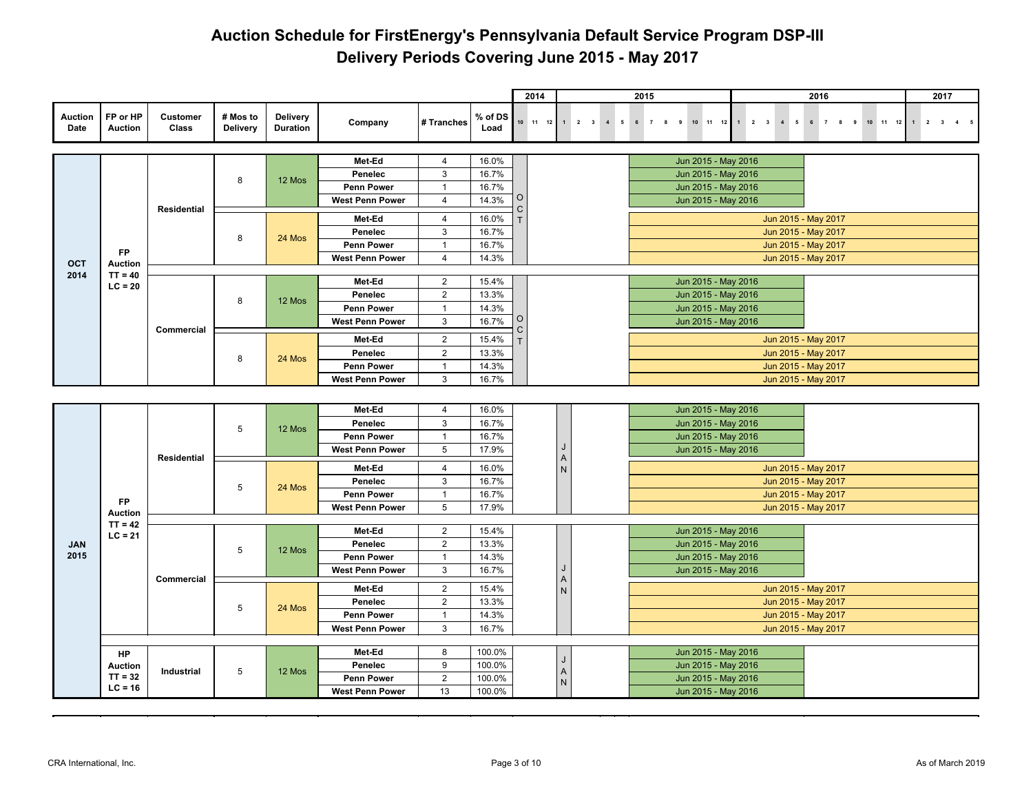|                        |                            |                          |                             |                             |                                             |                     |                 | 2014           |                                     | 2015                                                                          |                                                           | 2016                | 2017                                |
|------------------------|----------------------------|--------------------------|-----------------------------|-----------------------------|---------------------------------------------|---------------------|-----------------|----------------|-------------------------------------|-------------------------------------------------------------------------------|-----------------------------------------------------------|---------------------|-------------------------------------|
| <b>Auction</b><br>Date | FP or HP<br><b>Auction</b> | <b>Customer</b><br>Class | # Mos to<br><b>Delivery</b> | Delivery<br><b>Duration</b> | Company                                     | # Tranches          | % of DS<br>Load | $10$ $11$ $12$ | $1 \qquad 2 \qquad 3$<br>$4\quad 5$ | 10 11 12<br>9<br>$6\overline{6}$<br>$\overline{7}$<br>$\overline{\mathbf{8}}$ | $1 \qquad 2 \qquad 3$<br>$\overline{4}$<br>5 <sub>5</sub> | 6 7 8 9<br>10 11 12 | $2 \qquad 3 \qquad 4 \qquad 5$<br>1 |
|                        |                            |                          |                             |                             |                                             |                     |                 |                |                                     |                                                                               |                                                           |                     |                                     |
|                        |                            |                          |                             |                             | Met-Ed                                      | $\overline{4}$<br>3 | 16.0%           |                |                                     | Jun 2015 - May 2016                                                           |                                                           |                     |                                     |
|                        |                            |                          | 8                           | 12 Mos                      | Penelec                                     | $\mathbf{1}$        | 16.7%           |                |                                     | Jun 2015 - May 2016                                                           |                                                           |                     |                                     |
|                        |                            |                          |                             |                             | <b>Penn Power</b><br><b>West Penn Power</b> | $\overline{4}$      | 16.7%<br>14.3%  | O              |                                     | Jun 2015 - May 2016<br>Jun 2015 - May 2016                                    |                                                           |                     |                                     |
|                        |                            | <b>Residential</b>       |                             |                             |                                             |                     |                 | C.             |                                     |                                                                               |                                                           |                     |                                     |
|                        |                            |                          |                             |                             | Met-Ed                                      | $\overline{4}$      | 16.0%           |                |                                     |                                                                               | Jun 2015 - May 2017                                       |                     |                                     |
|                        |                            |                          | 8                           | 24 Mos                      | Penelec                                     | 3                   | 16.7%           |                |                                     |                                                                               | Jun 2015 - May 2017                                       |                     |                                     |
|                        | <b>FP</b>                  |                          |                             |                             | <b>Penn Power</b>                           | $\mathbf{1}$        | 16.7%           |                |                                     |                                                                               | Jun 2015 - May 2017                                       |                     |                                     |
| OCT                    | <b>Auction</b>             |                          |                             |                             | <b>West Penn Power</b>                      | $\overline{4}$      | 14.3%           |                |                                     |                                                                               | Jun 2015 - May 2017                                       |                     |                                     |
| 2014                   | $TT = 40$                  |                          |                             |                             | Met-Ed                                      | $\overline{2}$      | 15.4%           |                |                                     | Jun 2015 - May 2016                                                           |                                                           |                     |                                     |
|                        | $LC = 20$                  |                          |                             |                             | Penelec                                     | $\overline{2}$      | 13.3%           |                |                                     | Jun 2015 - May 2016                                                           |                                                           |                     |                                     |
|                        |                            |                          | 8                           | 12 Mos                      | <b>Penn Power</b>                           | $\mathbf{1}$        | 14.3%           |                |                                     | Jun 2015 - May 2016                                                           |                                                           |                     |                                     |
|                        |                            |                          |                             |                             | <b>West Penn Power</b>                      | 3                   | 16.7%           | O              |                                     | Jun 2015 - May 2016                                                           |                                                           |                     |                                     |
|                        |                            | <b>Commercial</b>        |                             |                             | Met-Ed                                      | $\overline{2}$      | 15.4%           | C.             |                                     |                                                                               | Jun 2015 - May 2017                                       |                     |                                     |
|                        |                            |                          |                             |                             | Penelec                                     | $\overline{2}$      | 13.3%           |                |                                     |                                                                               | Jun 2015 - May 2017                                       |                     |                                     |
|                        |                            |                          | 8                           | 24 Mos                      | <b>Penn Power</b>                           | $\overline{1}$      | 14.3%           |                |                                     |                                                                               | Jun 2015 - May 2017                                       |                     |                                     |
|                        |                            |                          |                             |                             | <b>West Penn Power</b>                      | 3                   | 16.7%           |                |                                     |                                                                               | Jun 2015 - May 2017                                       |                     |                                     |
|                        |                            |                          |                             |                             |                                             |                     |                 |                |                                     |                                                                               |                                                           |                     |                                     |
|                        |                            |                          |                             |                             | Met-Ed                                      | 4                   | 16.0%           |                |                                     | Jun 2015 - May 2016                                                           |                                                           |                     |                                     |
|                        |                            |                          |                             |                             | Penelec                                     | 3                   | 16.7%           |                |                                     | Jun 2015 - May 2016                                                           |                                                           |                     |                                     |
|                        |                            |                          | 5                           | 12 Mos                      | Penn Power                                  | $\mathbf{1}$        | 16.7%           |                |                                     | Jun 2015 - May 2016                                                           |                                                           |                     |                                     |
|                        |                            |                          |                             |                             | <b>West Penn Power</b>                      | 5                   | 17.9%           |                |                                     | Jun 2015 - May 2016                                                           |                                                           |                     |                                     |
|                        |                            | Residential              |                             |                             |                                             |                     |                 |                | Α                                   |                                                                               |                                                           |                     |                                     |
|                        |                            |                          |                             |                             | Met-Ed<br>Penelec                           | $\overline{4}$<br>3 | 16.0%<br>16.7%  |                | ${\sf N}$                           |                                                                               | Jun 2015 - May 2017<br>Jun 2015 - May 2017                |                     |                                     |
|                        |                            |                          | 5                           | 24 Mos                      | <b>Penn Power</b>                           | $\mathbf{1}$        | 16.7%           |                |                                     |                                                                               | Jun 2015 - May 2017                                       |                     |                                     |
|                        | <b>FP</b>                  |                          |                             |                             | <b>West Penn Power</b>                      | 5                   | 17.9%           |                |                                     |                                                                               | Jun 2015 - May 2017                                       |                     |                                     |
|                        | Auction                    |                          |                             |                             |                                             |                     |                 |                |                                     |                                                                               |                                                           |                     |                                     |
|                        | $TT = 42$<br>$LC = 21$     |                          |                             |                             | Met-Ed                                      | $\overline{2}$      | 15.4%           |                |                                     | Jun 2015 - May 2016                                                           |                                                           |                     |                                     |
| <b>JAN</b>             |                            |                          | 5                           | 12 Mos                      | Penelec                                     | $\overline{2}$      | 13.3%           |                |                                     | Jun 2015 - May 2016                                                           |                                                           |                     |                                     |
| 2015                   |                            |                          |                             |                             | Penn Power                                  | $\mathbf{1}$        | 14.3%           |                |                                     | Jun 2015 - May 2016                                                           |                                                           |                     |                                     |
|                        |                            |                          |                             |                             | <b>West Penn Power</b>                      | 3                   | 16.7%           |                | J                                   | Jun 2015 - May 2016                                                           |                                                           |                     |                                     |
|                        |                            | Commercial               |                             |                             | Met-Ed                                      | $\overline{2}$      | 15.4%           |                | Α<br>${\sf N}$                      |                                                                               | Jun 2015 - May 2017                                       |                     |                                     |
|                        |                            |                          |                             |                             | Penelec                                     | $\overline{2}$      | 13.3%           |                |                                     |                                                                               | Jun 2015 - May 2017                                       |                     |                                     |
|                        |                            |                          | 5                           | 24 Mos                      | <b>Penn Power</b>                           | $\mathbf{1}$        | 14.3%           |                |                                     |                                                                               | Jun 2015 - May 2017                                       |                     |                                     |
|                        |                            |                          |                             |                             | <b>West Penn Power</b>                      | 3                   | 16.7%           |                |                                     |                                                                               | Jun 2015 - May 2017                                       |                     |                                     |
|                        |                            |                          |                             |                             |                                             |                     |                 |                |                                     |                                                                               |                                                           |                     |                                     |
|                        | HP                         |                          |                             |                             | Met-Ed                                      | 8                   | 100.0%          |                | J                                   | Jun 2015 - May 2016                                                           |                                                           |                     |                                     |
|                        | <b>Auction</b>             | Industrial               | 5                           | 12 Mos                      | Penelec                                     | 9                   | 100.0%          |                | $\mathsf A$                         | Jun 2015 - May 2016                                                           |                                                           |                     |                                     |
|                        | $TT = 32$<br>$LC = 16$     |                          |                             |                             | Penn Power                                  | $\overline{2}$      | 100.0%          |                | N                                   | Jun 2015 - May 2016                                                           |                                                           |                     |                                     |
|                        |                            |                          |                             |                             | <b>West Penn Power</b>                      | 13                  | 100.0%          |                |                                     | Jun 2015 - May 2016                                                           |                                                           |                     |                                     |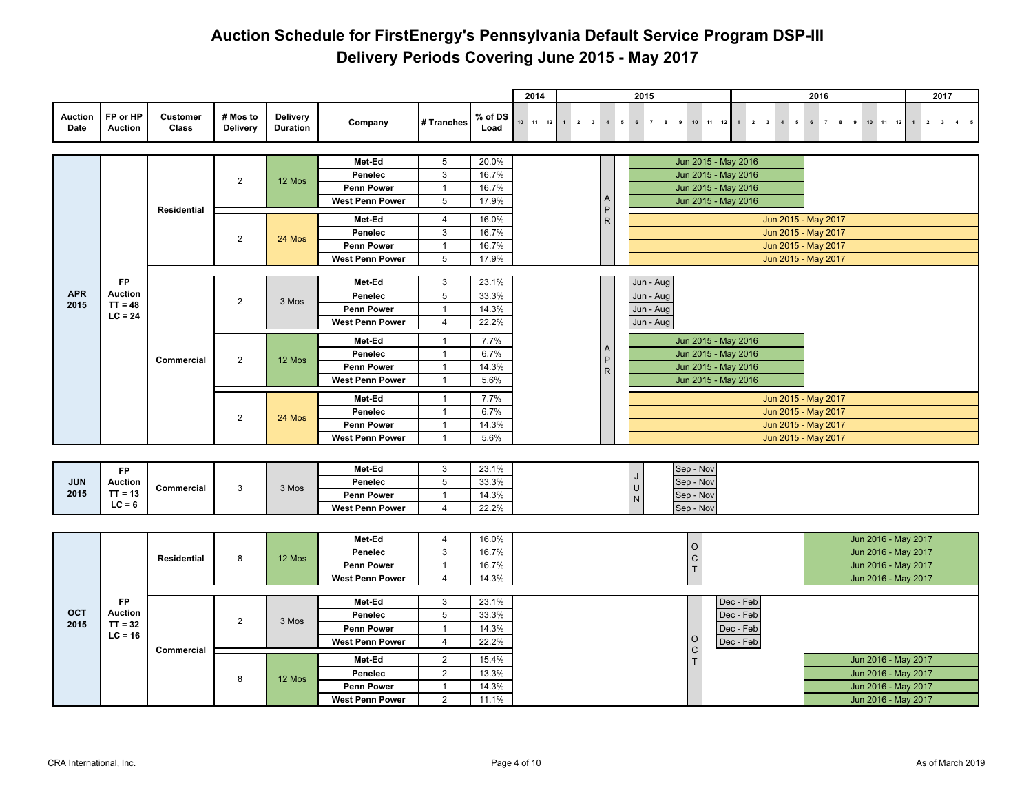|                        |                            |                    |                      |                                    |                        |                                  |                 | 2014     |         |                                | 2015                 |                      |           |                | 2016                                       |        |                                            | 2017 |             |
|------------------------|----------------------------|--------------------|----------------------|------------------------------------|------------------------|----------------------------------|-----------------|----------|---------|--------------------------------|----------------------|----------------------|-----------|----------------|--------------------------------------------|--------|--------------------------------------------|------|-------------|
| <b>Auction</b><br>Date | FP or HP<br><b>Auction</b> | Customer<br>Class  | # Mos to<br>Delivery | <b>Delivery</b><br><b>Duration</b> | Company                | # Tranches                       | % of DS<br>Load | 10 11 12 | $2 \t3$ | $\overline{4}$<br>5            | $6\overline{6}$<br>7 | 8 9 10 11 12 1 2 3   |           | $\overline{4}$ | 5<br>$6 \overline{7}$                      | 8<br>9 | 10 11 12 1 2                               |      | $3 \quad 4$ |
|                        |                            |                    |                      |                                    | Met-Ed                 | $5\phantom{.0}$                  | 20.0%           |          |         |                                |                      | Jun 2015 - May 2016  |           |                |                                            |        |                                            |      |             |
|                        |                            |                    |                      |                                    | Penelec                | 3                                | 16.7%           |          |         |                                |                      | Jun 2015 - May 2016  |           |                |                                            |        |                                            |      |             |
|                        |                            |                    | $\overline{2}$       | 12 Mos                             | <b>Penn Power</b>      | $\mathbf{1}$                     | 16.7%           |          |         |                                |                      | Jun 2015 - May 2016  |           |                |                                            |        |                                            |      |             |
|                        |                            |                    |                      |                                    | <b>West Penn Power</b> | 5                                | 17.9%           |          |         | $\mathsf{A}$                   |                      | Jun 2015 - May 2016  |           |                |                                            |        |                                            |      |             |
|                        |                            | <b>Residential</b> |                      |                                    | Met-Ed                 | $\overline{4}$                   |                 |          |         | $\mathsf P$                    |                      |                      |           |                |                                            |        |                                            |      |             |
|                        |                            |                    |                      |                                    | Penelec                | 3                                | 16.0%<br>16.7%  |          |         | ${\sf R}$                      |                      |                      |           |                | Jun 2015 - May 2017<br>Jun 2015 - May 2017 |        |                                            |      |             |
|                        |                            |                    | $\overline{2}$       | 24 Mos                             | <b>Penn Power</b>      | $\mathbf{1}$                     | 16.7%           |          |         |                                |                      |                      |           |                | Jun 2015 - May 2017                        |        |                                            |      |             |
|                        |                            |                    |                      |                                    | <b>West Penn Power</b> | 5                                | 17.9%           |          |         |                                |                      |                      |           |                | Jun 2015 - May 2017                        |        |                                            |      |             |
|                        |                            |                    |                      |                                    |                        |                                  |                 |          |         |                                |                      |                      |           |                |                                            |        |                                            |      |             |
|                        | <b>FP</b>                  |                    |                      |                                    | Met-Ed                 | 3                                | 23.1%           |          |         |                                | Jun - Aug            |                      |           |                |                                            |        |                                            |      |             |
| <b>APR</b>             | <b>Auction</b>             |                    | $\overline{2}$       | 3 Mos                              | Penelec                | 5                                | 33.3%           |          |         |                                | Jun - Aug            |                      |           |                |                                            |        |                                            |      |             |
| 2015                   | $TT = 48$<br>$LC = 24$     |                    |                      |                                    | Penn Power             | $\mathbf{1}$                     | 14.3%           |          |         |                                | Jun - Aug            |                      |           |                |                                            |        |                                            |      |             |
|                        |                            |                    |                      |                                    | <b>West Penn Power</b> | $\overline{4}$                   | 22.2%           |          |         |                                | Jun - Aug            |                      |           |                |                                            |        |                                            |      |             |
|                        |                            |                    |                      |                                    | Met-Ed                 | $\mathbf{1}$                     | 7.7%            |          |         |                                |                      | Jun 2015 - May 2016  |           |                |                                            |        |                                            |      |             |
|                        |                            | Commercial         | $\overline{2}$       | 12 Mos                             | Penelec                | $\overline{1}$                   | 6.7%            |          |         | $\overline{A}$<br>$\mathsf{P}$ |                      | Jun 2015 - May 2016  |           |                |                                            |        |                                            |      |             |
|                        |                            |                    |                      |                                    | Penn Power             | $\mathbf{1}$                     | 14.3%           |          |         | $\mathsf{R}$                   |                      | Jun 2015 - May 2016  |           |                |                                            |        |                                            |      |             |
|                        |                            |                    |                      |                                    | <b>West Penn Power</b> | $\mathbf{1}$                     | 5.6%            |          |         |                                |                      | Jun 2015 - May 2016  |           |                |                                            |        |                                            |      |             |
|                        |                            |                    |                      |                                    | Met-Ed                 | $\mathbf{1}$                     | 7.7%            |          |         |                                |                      |                      |           |                | Jun 2015 - May 2017                        |        |                                            |      |             |
|                        |                            |                    | $\overline{2}$       | 24 Mos                             | Penelec                | $\mathbf{1}$                     | 6.7%            |          |         |                                |                      |                      |           |                | Jun 2015 - May 2017                        |        |                                            |      |             |
|                        |                            |                    |                      |                                    | <b>Penn Power</b>      | $\mathbf{1}$                     | 14.3%           |          |         |                                |                      |                      |           |                | Jun 2015 - May 2017                        |        |                                            |      |             |
|                        |                            |                    |                      |                                    | <b>West Penn Power</b> | $\mathbf{1}$                     | 5.6%            |          |         |                                |                      |                      |           |                | Jun 2015 - May 2017                        |        |                                            |      |             |
|                        |                            |                    |                      |                                    |                        |                                  |                 |          |         |                                |                      |                      |           |                |                                            |        |                                            |      |             |
|                        | <b>FP</b>                  |                    |                      |                                    | Met-Ed                 | 3                                | 23.1%           |          |         |                                |                      | Sep - Nov            |           |                |                                            |        |                                            |      |             |
| <b>JUN</b>             | <b>Auction</b>             | Commercial         | 3                    | 3 Mos                              | Penelec                | 5                                | 33.3%           |          |         |                                | $\cup$               | Sep - Nov            |           |                |                                            |        |                                            |      |             |
| 2015                   | $TT = 13$                  |                    |                      |                                    | Penn Power             | $\mathbf{1}$                     | 14.3%           |          |         |                                | N.                   | Sep - Nov            |           |                |                                            |        |                                            |      |             |
|                        | $LC = 6$                   |                    |                      |                                    | <b>West Penn Power</b> | $\overline{4}$                   | 22.2%           |          |         |                                |                      | Sep - Nov            |           |                |                                            |        |                                            |      |             |
|                        |                            |                    |                      |                                    |                        |                                  |                 |          |         |                                |                      |                      |           |                |                                            |        |                                            |      |             |
|                        |                            |                    |                      |                                    | Met-Ed                 | 4                                | 16.0%           |          |         |                                |                      |                      |           |                |                                            |        | Jun 2016 - May 2017                        |      |             |
|                        |                            | <b>Residential</b> | 8                    | 12 Mos                             | Penelec                | $\mathbf{3}$                     | 16.7%           |          |         |                                |                      | $\circ$<br>${\rm c}$ |           |                |                                            |        | Jun 2016 - May 2017                        |      |             |
|                        |                            |                    |                      |                                    | <b>Penn Power</b>      | $\mathbf{1}$                     | 16.7%           |          |         |                                |                      | $\bar{\rm T}$        |           |                |                                            |        | Jun 2016 - May 2017                        |      |             |
|                        |                            |                    |                      |                                    | <b>West Penn Power</b> | $\overline{4}$                   | 14.3%           |          |         |                                |                      |                      |           |                |                                            |        | Jun 2016 - May 2017                        |      |             |
|                        | <b>FP</b>                  |                    |                      |                                    | Met-Ed                 | 3                                | 23.1%           |          |         |                                |                      |                      | Dec - Feb |                |                                            |        |                                            |      |             |
| OCT                    | <b>Auction</b>             |                    |                      |                                    | Penelec                | 5                                | 33.3%           |          |         |                                |                      |                      | Dec - Feb |                |                                            |        |                                            |      |             |
| 2015                   | $TT = 32$                  |                    | $\overline{2}$       | 3 Mos                              | Penn Power             | $\mathbf{1}$                     | 14.3%           |          |         |                                |                      |                      | Dec - Feb |                |                                            |        |                                            |      |             |
|                        | $LC = 16$                  |                    |                      |                                    | <b>West Penn Power</b> | $\overline{4}$                   | 22.2%           |          |         |                                |                      | $\circ$              | Dec - Feb |                |                                            |        |                                            |      |             |
|                        |                            | Commercial         |                      |                                    |                        |                                  |                 |          |         |                                |                      | $\mathsf{C}$         |           |                |                                            |        |                                            |      |             |
|                        |                            |                    |                      |                                    | Met-Ed<br>Penelec      | $\overline{2}$<br>$\overline{2}$ | 15.4%<br>13.3%  |          |         |                                |                      | T                    |           |                |                                            |        | Jun 2016 - May 2017<br>Jun 2016 - May 2017 |      |             |
|                        |                            |                    | 8                    | 12 Mos                             | Penn Power             | $\mathbf{1}$                     | 14.3%           |          |         |                                |                      |                      |           |                |                                            |        | Jun 2016 - May 2017                        |      |             |
|                        |                            |                    |                      |                                    | <b>West Penn Power</b> | $\overline{2}$                   | 11.1%           |          |         |                                |                      |                      |           |                |                                            |        | Jun 2016 - May 2017                        |      |             |
|                        |                            |                    |                      |                                    |                        |                                  |                 |          |         |                                |                      |                      |           |                |                                            |        |                                            |      |             |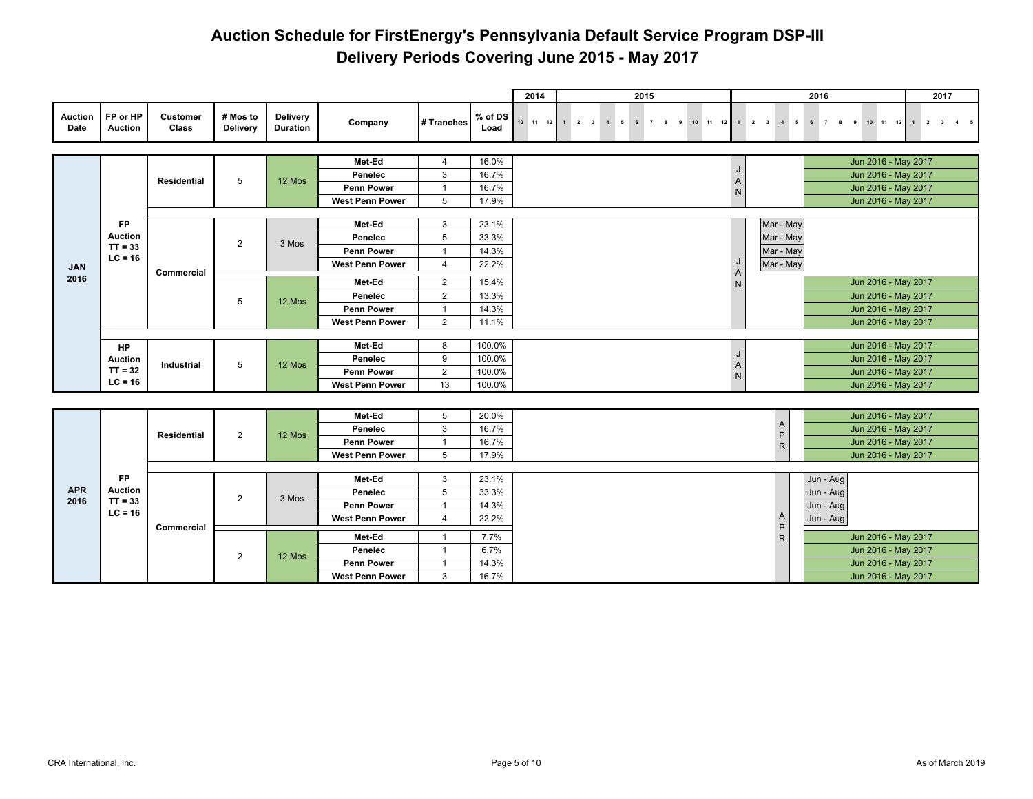|                        |                            |                    |                             |                                    |                        |                |                 | 2014             |   |             |                     | 2015 |    |       |    |                                         |                     |                                              |   | 2016      |                       |  |                     | 2017 |  |
|------------------------|----------------------------|--------------------|-----------------------------|------------------------------------|------------------------|----------------|-----------------|------------------|---|-------------|---------------------|------|----|-------|----|-----------------------------------------|---------------------|----------------------------------------------|---|-----------|-----------------------|--|---------------------|------|--|
| <b>Auction</b><br>Date | FP or HP<br><b>Auction</b> | Customer<br>Class  | # Mos to<br><b>Delivery</b> | <b>Delivery</b><br><b>Duration</b> | Company                | # Tranches     | % of DS<br>Load | $10 \t 11 \t 12$ | 1 | $2 \quad 3$ | $\overline{4}$<br>5 | 6 7  | 89 | 10 11 | 12 |                                         | $1 \quad 2 \quad 3$ | $4\quad 5$                                   | 6 |           | $7 \qquad 8 \qquad 9$ |  | 10 11 12 1 2 3 4 5  |      |  |
|                        |                            |                    |                             |                                    |                        |                |                 |                  |   |             |                     |      |    |       |    |                                         |                     |                                              |   |           |                       |  |                     |      |  |
|                        |                            |                    |                             |                                    | Met-Ed                 | 4              | 16.0%           |                  |   |             |                     |      |    |       |    | J                                       |                     |                                              |   |           |                       |  | Jun 2016 - May 2017 |      |  |
|                        |                            | <b>Residential</b> | 5                           | 12 Mos                             | Penelec                | 3              | 16.7%           |                  |   |             |                     |      |    |       |    |                                         |                     |                                              |   |           |                       |  | Jun 2016 - May 2017 |      |  |
|                        |                            |                    |                             |                                    | <b>Penn Power</b>      | $\mathbf{1}$   | 16.7%           |                  |   |             |                     |      |    |       |    | $\begin{array}{c}\nA \\ N\n\end{array}$ |                     |                                              |   |           |                       |  | Jun 2016 - May 2017 |      |  |
|                        |                            |                    |                             |                                    | <b>West Penn Power</b> | 5              | 17.9%           |                  |   |             |                     |      |    |       |    |                                         |                     |                                              |   |           |                       |  | Jun 2016 - May 2017 |      |  |
|                        | <b>FP</b>                  |                    |                             |                                    | Met-Ed                 | 3              | 23.1%           |                  |   |             |                     |      |    |       |    |                                         |                     |                                              |   |           |                       |  |                     |      |  |
|                        | Auction                    |                    |                             |                                    | Penelec                | 5              | 33.3%           |                  |   |             |                     |      |    |       |    |                                         |                     | Mar - May<br>Mar - May                       |   |           |                       |  |                     |      |  |
|                        | $TT = 33$                  |                    | $\overline{2}$              | 3 Mos                              | <b>Penn Power</b>      | $\overline{1}$ | 14.3%           |                  |   |             |                     |      |    |       |    |                                         |                     | Mar - May                                    |   |           |                       |  |                     |      |  |
|                        | $LC = 16$                  |                    |                             |                                    | <b>West Penn Power</b> | $\overline{4}$ | 22.2%           |                  |   |             |                     |      |    |       |    | J                                       |                     | Mar - May                                    |   |           |                       |  |                     |      |  |
| <b>JAN</b><br>2016     |                            | Commercial         |                             |                                    |                        |                |                 |                  |   |             |                     |      |    |       |    | $\begin{array}{c}\nA \\ N\n\end{array}$ |                     |                                              |   |           |                       |  |                     |      |  |
|                        |                            |                    |                             |                                    | Met-Ed                 | $\overline{2}$ | 15.4%           |                  |   |             |                     |      |    |       |    |                                         |                     |                                              |   |           |                       |  | Jun 2016 - May 2017 |      |  |
|                        |                            |                    | 5                           | 12 Mos                             | Penelec                | $\overline{2}$ | 13.3%           |                  |   |             |                     |      |    |       |    |                                         |                     |                                              |   |           |                       |  | Jun 2016 - May 2017 |      |  |
|                        |                            |                    |                             |                                    | Penn Power             | $\overline{1}$ | 14.3%           |                  |   |             |                     |      |    |       |    |                                         |                     |                                              |   |           |                       |  | Jun 2016 - May 2017 |      |  |
|                        |                            |                    |                             |                                    | <b>West Penn Power</b> | $\overline{2}$ | 11.1%           |                  |   |             |                     |      |    |       |    |                                         |                     |                                              |   |           |                       |  | Jun 2016 - May 2017 |      |  |
|                        | HP                         |                    |                             |                                    | Met-Ed                 | 8              | 100.0%          |                  |   |             |                     |      |    |       |    |                                         |                     |                                              |   |           |                       |  | Jun 2016 - May 2017 |      |  |
|                        | Auction                    |                    |                             |                                    | Penelec                | 9              | 100.0%          |                  |   |             |                     |      |    |       |    | J                                       |                     |                                              |   |           |                       |  | Jun 2016 - May 2017 |      |  |
|                        | $TT = 32$                  | Industrial         | 5                           | 12 Mos                             | Penn Power             | $\overline{2}$ | 100.0%          |                  |   |             |                     |      |    |       |    | $\mathsf A$<br>$\hbox{N}$               |                     |                                              |   |           |                       |  | Jun 2016 - May 2017 |      |  |
|                        | $LC = 16$                  |                    |                             |                                    | <b>West Penn Power</b> | 13             | 100.0%          |                  |   |             |                     |      |    |       |    |                                         |                     |                                              |   |           |                       |  | Jun 2016 - May 2017 |      |  |
|                        |                            |                    |                             |                                    |                        |                |                 |                  |   |             |                     |      |    |       |    |                                         |                     |                                              |   |           |                       |  |                     |      |  |
|                        |                            |                    |                             |                                    | Met-Ed                 | 5              | 20.0%           |                  |   |             |                     |      |    |       |    |                                         |                     |                                              |   |           |                       |  | Jun 2016 - May 2017 |      |  |
|                        |                            |                    |                             |                                    | Penelec                | 3              | 16.7%           |                  |   |             |                     |      |    |       |    |                                         |                     |                                              |   |           |                       |  | Jun 2016 - May 2017 |      |  |
|                        |                            | <b>Residential</b> | $\overline{2}$              | 12 Mos                             | <b>Penn Power</b>      | $\overline{1}$ | 16.7%           |                  |   |             |                     |      |    |       |    |                                         |                     | $\begin{array}{c}\nA \\ P \\ R\n\end{array}$ |   |           |                       |  | Jun 2016 - May 2017 |      |  |
|                        |                            |                    |                             |                                    | <b>West Penn Power</b> | 5              | 17.9%           |                  |   |             |                     |      |    |       |    |                                         |                     |                                              |   |           |                       |  | Jun 2016 - May 2017 |      |  |
|                        |                            |                    |                             |                                    |                        |                |                 |                  |   |             |                     |      |    |       |    |                                         |                     |                                              |   |           |                       |  |                     |      |  |
|                        | <b>FP</b>                  |                    |                             |                                    | Met-Ed                 | 3              | 23.1%           |                  |   |             |                     |      |    |       |    |                                         |                     |                                              |   | Jun - Aug |                       |  |                     |      |  |
| <b>APR</b>             | <b>Auction</b>             |                    | $\overline{2}$              | 3 Mos                              | Penelec                | 5              | 33.3%           |                  |   |             |                     |      |    |       |    |                                         |                     |                                              |   | Jun - Aug |                       |  |                     |      |  |
| 2016                   | $TT = 33$<br>$LC = 16$     |                    |                             |                                    | <b>Penn Power</b>      | $\overline{1}$ | 14.3%           |                  |   |             |                     |      |    |       |    |                                         |                     |                                              |   | Jun - Aug |                       |  |                     |      |  |
|                        |                            | Commercial         |                             |                                    | <b>West Penn Power</b> | $\overline{4}$ | 22.2%           |                  |   |             |                     |      |    |       |    |                                         |                     | Α<br>$\mathsf P$                             |   | Jun - Aug |                       |  |                     |      |  |
|                        |                            |                    |                             |                                    | Met-Ed                 | $\mathbf{1}$   | 7.7%            |                  |   |             |                     |      |    |       |    |                                         |                     | $\mathsf R$                                  |   |           |                       |  | Jun 2016 - May 2017 |      |  |
|                        |                            |                    |                             |                                    | Penelec                | $\mathbf{1}$   | 6.7%            |                  |   |             |                     |      |    |       |    |                                         |                     |                                              |   |           |                       |  | Jun 2016 - May 2017 |      |  |
|                        |                            |                    | $\overline{2}$              | 12 Mos                             | Penn Power             | $\overline{1}$ | 14.3%           |                  |   |             |                     |      |    |       |    |                                         |                     |                                              |   |           |                       |  | Jun 2016 - May 2017 |      |  |
|                        |                            |                    |                             |                                    | <b>West Penn Power</b> | 3              | 16.7%           |                  |   |             |                     |      |    |       |    |                                         |                     |                                              |   |           |                       |  | Jun 2016 - May 2017 |      |  |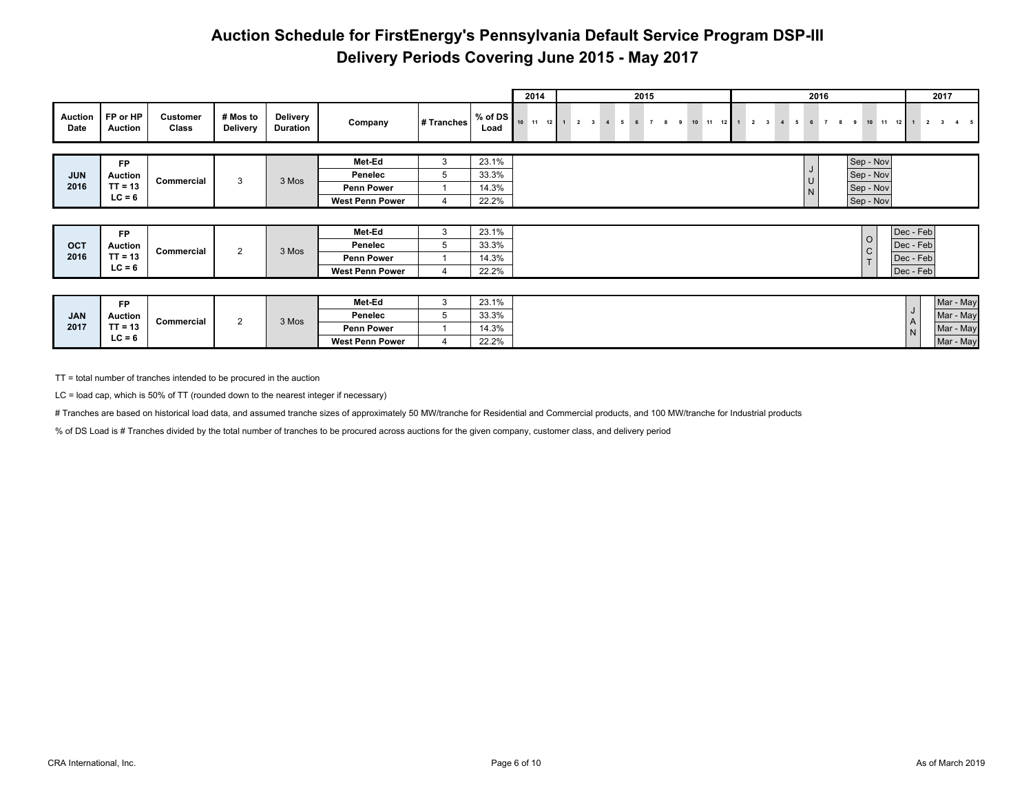|                        |                            |                   |                      |                             |                        |            |                         | 2014 |              |                         |                  | 2015 |  |  |                    |  |                          | 2016 |           |                         |                 | 2017 |   |
|------------------------|----------------------------|-------------------|----------------------|-----------------------------|------------------------|------------|-------------------------|------|--------------|-------------------------|------------------|------|--|--|--------------------|--|--------------------------|------|-----------|-------------------------|-----------------|------|---|
| <b>Auction</b><br>Date | FP or HP<br><b>Auction</b> | Customer<br>Class | # Mos to<br>Delivery | Delivery<br><b>Duration</b> | Company                | # Tranches | % of DS $\vert$<br>Load |      | 10 11 12 1 2 | $\overline{\mathbf{3}}$ | $\overline{4}$ 5 |      |  |  | $9$ 10 11 12 1 2 3 |  | $4\quad 5\quad 6\quad 7$ |      | $\bullet$ | 10 11                   | 12 <sup>1</sup> |      |   |
|                        |                            |                   |                      |                             |                        |            |                         |      |              |                         |                  |      |  |  |                    |  |                          |      |           |                         |                 |      |   |
|                        | <b>FP</b>                  |                   |                      |                             | Met-Ed                 | 3          | 23.1%                   |      |              |                         |                  |      |  |  |                    |  |                          |      |           | Sep - Nov               |                 |      |   |
| <b>JUN</b>             | <b>Auction</b>             | Commercial        | 3                    | 3 Mos                       | Penelec                | 5          | 33.3%                   |      |              |                         |                  |      |  |  |                    |  |                          |      |           | Sep - Nov               |                 |      |   |
| 2016                   | $TT = 13$                  |                   |                      |                             | <b>Penn Power</b>      |            | 14.3%                   |      |              |                         |                  |      |  |  |                    |  |                          |      |           | Sep - Nov               |                 |      |   |
|                        | $LC = 6$                   |                   |                      |                             | <b>West Penn Power</b> |            | 22.2%                   |      |              |                         |                  |      |  |  |                    |  |                          |      |           | Sep - Nov               |                 |      |   |
|                        |                            |                   |                      |                             |                        |            |                         |      |              |                         |                  |      |  |  |                    |  |                          |      |           |                         |                 |      |   |
|                        | <b>FP</b>                  |                   |                      |                             | Met-Ed                 | 3          | 23.1%                   |      |              |                         |                  |      |  |  |                    |  |                          |      |           |                         | Dec - Feb       |      |   |
| OCT                    | <b>Auction</b>             |                   | 2                    | 3 Mos                       | Penelec                | 5          | 33.3%                   |      |              |                         |                  |      |  |  |                    |  |                          |      |           | $\circ$<br>$\mathsf{C}$ | Dec - Feb       |      |   |
| 2016                   | $TT = 13$                  | Commercial        |                      |                             | <b>Penn Power</b>      |            | 14.3%                   |      |              |                         |                  |      |  |  |                    |  |                          |      |           | $\mathbf{r}$            | Dec - Feb       |      |   |
|                        | $LC = 6$                   |                   |                      |                             | <b>West Penn Power</b> |            | 22.2%                   |      |              |                         |                  |      |  |  |                    |  |                          |      |           |                         | Dec - Feb       |      |   |
|                        |                            |                   |                      |                             |                        |            |                         |      |              |                         |                  |      |  |  |                    |  |                          |      |           |                         |                 |      |   |
|                        |                            |                   |                      |                             |                        | $\sim$     | $\sim$ $\sim$ $\sim$    |      |              |                         |                  |      |  |  |                    |  |                          |      |           |                         |                 |      | . |

|            | ED.               |            |       | Met-Ed                 | 22.10%<br><b>20.170</b> |            |  |
|------------|-------------------|------------|-------|------------------------|-------------------------|------------|--|
| <b>JAN</b> | Auction           |            |       | Penelec                | 33.3%                   |            |  |
| 2017       | $TT - 42$<br>- 19 | Commercial | 3 Mos | <b>Penn Power</b>      | 14.3%                   | ΙA.<br>I N |  |
|            | $LC = 6$          |            |       | <b>West Penn Power</b> | 22.2%                   |            |  |

TT = total number of tranches intended to be procured in the auction

LC = load cap, which is 50% of TT (rounded down to the nearest integer if necessary)

# Tranches are based on historical load data, and assumed tranche sizes of approximately 50 MW/tranche for Residential and Commercial products, and 100 MW/tranche for Industrial products

% of DS Load is # Tranches divided by the total number of tranches to be procured across auctions for the given company, customer class, and delivery period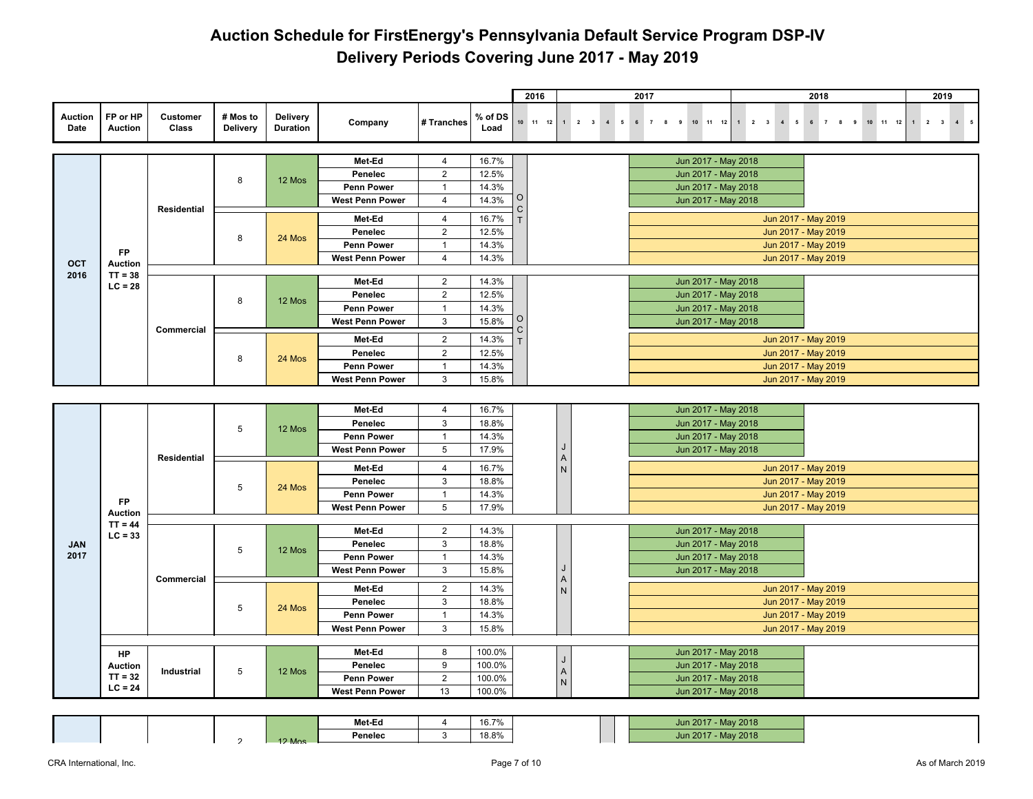|                        |                            |                   |                      |                                    |                              |                                |                  | 2016    |                  |              |                                     | 2017             |                                            |  |  | 2018                                       |  |                            |   | 2019                           |  |
|------------------------|----------------------------|-------------------|----------------------|------------------------------------|------------------------------|--------------------------------|------------------|---------|------------------|--------------|-------------------------------------|------------------|--------------------------------------------|--|--|--------------------------------------------|--|----------------------------|---|--------------------------------|--|
| <b>Auction</b><br>Date | FP or HP<br><b>Auction</b> | Customer<br>Class | # Mos to<br>Delivery | <b>Delivery</b><br><b>Duration</b> | Company                      | # Tranches                     | % of DS<br>Load  |         | $10 \t 11 \t 12$ |              | $1 \quad 2 \quad 3 \quad 4 \quad 5$ | 6 7 8 9 10 11 12 |                                            |  |  |                                            |  | 1 2 3 4 5 6 7 8 9 10 11 12 | 1 | $2 \qquad 3 \qquad 4 \qquad 5$ |  |
|                        |                            |                   |                      |                                    | Met-Ed                       | $\overline{4}$                 | 16.7%            |         |                  |              |                                     |                  | Jun 2017 - May 2018                        |  |  |                                            |  |                            |   |                                |  |
|                        |                            |                   |                      |                                    | Penelec                      | $\overline{2}$                 | 12.5%            |         |                  |              |                                     |                  | Jun 2017 - May 2018                        |  |  |                                            |  |                            |   |                                |  |
|                        |                            |                   | 8                    | 12 Mos                             | <b>Penn Power</b>            | $\overline{1}$                 | 14.3%            |         |                  |              |                                     |                  | Jun 2017 - May 2018                        |  |  |                                            |  |                            |   |                                |  |
|                        |                            |                   |                      |                                    | <b>West Penn Power</b>       | 4                              | 14.3%            | 0       |                  |              |                                     |                  | Jun 2017 - May 2018                        |  |  |                                            |  |                            |   |                                |  |
|                        |                            | Residential       |                      |                                    |                              |                                |                  | С       |                  |              |                                     |                  |                                            |  |  |                                            |  |                            |   |                                |  |
|                        |                            |                   |                      |                                    | Met-Ed                       | 4                              | 16.7%            |         |                  |              |                                     |                  |                                            |  |  | Jun 2017 - May 2019                        |  |                            |   |                                |  |
|                        |                            |                   | 8                    | 24 Mos                             | Penelec<br><b>Penn Power</b> | $\overline{2}$<br>$\mathbf{1}$ | 12.5%<br>14.3%   |         |                  |              |                                     |                  |                                            |  |  | Jun 2017 - May 2019                        |  |                            |   |                                |  |
|                        | <b>FP</b>                  |                   |                      |                                    | <b>West Penn Power</b>       | 4                              | 14.3%            |         |                  |              |                                     |                  |                                            |  |  | Jun 2017 - May 2019<br>Jun 2017 - May 2019 |  |                            |   |                                |  |
| OCT                    | <b>Auction</b>             |                   |                      |                                    |                              |                                |                  |         |                  |              |                                     |                  |                                            |  |  |                                            |  |                            |   |                                |  |
| 2016                   | $TT = 38$<br>$LC = 28$     |                   |                      |                                    | Met-Ed                       | $\overline{2}$                 | 14.3%            |         |                  |              |                                     |                  | Jun 2017 - May 2018                        |  |  |                                            |  |                            |   |                                |  |
|                        |                            |                   | 8                    | 12 Mos                             | Penelec                      | $\overline{2}$                 | 12.5%            |         |                  |              |                                     |                  | Jun 2017 - May 2018                        |  |  |                                            |  |                            |   |                                |  |
|                        |                            |                   |                      |                                    | <b>Penn Power</b>            | $\mathbf{1}$                   | 14.3%            |         |                  |              |                                     |                  | Jun 2017 - May 2018                        |  |  |                                            |  |                            |   |                                |  |
|                        |                            | <b>Commercial</b> |                      |                                    | <b>West Penn Power</b>       | 3                              | 15.8%            | O<br>C. |                  |              |                                     |                  | Jun 2017 - May 2018                        |  |  |                                            |  |                            |   |                                |  |
|                        |                            |                   |                      |                                    | Met-Ed                       | $\overline{2}$                 | 14.3%            |         |                  |              |                                     |                  |                                            |  |  | Jun 2017 - May 2019                        |  |                            |   |                                |  |
|                        |                            |                   | 8                    |                                    | Penelec                      | $\overline{2}$                 | 12.5%            |         |                  |              |                                     |                  |                                            |  |  | Jun 2017 - May 2019                        |  |                            |   |                                |  |
|                        |                            |                   |                      | 24 Mos                             | Penn Power                   | $\mathbf{1}$                   | 14.3%            |         |                  |              |                                     |                  |                                            |  |  | Jun 2017 - May 2019                        |  |                            |   |                                |  |
|                        |                            |                   |                      |                                    | <b>West Penn Power</b>       | 3                              | 15.8%            |         |                  |              |                                     |                  |                                            |  |  | Jun 2017 - May 2019                        |  |                            |   |                                |  |
|                        |                            |                   |                      |                                    |                              |                                |                  |         |                  |              |                                     |                  |                                            |  |  |                                            |  |                            |   |                                |  |
|                        |                            |                   |                      |                                    | Met-Ed                       | 4                              | 16.7%            |         |                  |              |                                     |                  | Jun 2017 - May 2018                        |  |  |                                            |  |                            |   |                                |  |
|                        |                            |                   |                      |                                    | Penelec                      | 3                              | 18.8%            |         |                  |              |                                     |                  | Jun 2017 - May 2018                        |  |  |                                            |  |                            |   |                                |  |
|                        |                            |                   | 5                    | 12 Mos                             | <b>Penn Power</b>            | $\mathbf{1}$                   | 14.3%            |         |                  |              |                                     |                  | Jun 2017 - May 2018                        |  |  |                                            |  |                            |   |                                |  |
|                        |                            |                   |                      |                                    | <b>West Penn Power</b>       | 5                              | 17.9%            |         |                  | J            |                                     |                  | Jun 2017 - May 2018                        |  |  |                                            |  |                            |   |                                |  |
|                        |                            | Residential       |                      |                                    | Met-Ed                       | $\overline{4}$                 | 16.7%            |         |                  | A<br>$\sf N$ |                                     |                  |                                            |  |  | Jun 2017 - May 2019                        |  |                            |   |                                |  |
|                        |                            |                   |                      |                                    | Penelec                      | 3                              | 18.8%            |         |                  |              |                                     |                  |                                            |  |  | Jun 2017 - May 2019                        |  |                            |   |                                |  |
|                        |                            |                   | 5                    | 24 Mos                             | <b>Penn Power</b>            | $\mathbf{1}$                   | 14.3%            |         |                  |              |                                     |                  |                                            |  |  | Jun 2017 - May 2019                        |  |                            |   |                                |  |
|                        | <b>FP</b><br>Auction       |                   |                      |                                    | <b>West Penn Power</b>       | 5                              | 17.9%            |         |                  |              |                                     |                  |                                            |  |  | Jun 2017 - May 2019                        |  |                            |   |                                |  |
|                        | $TT = 44$                  |                   |                      |                                    |                              |                                |                  |         |                  |              |                                     |                  |                                            |  |  |                                            |  |                            |   |                                |  |
|                        | $LC = 33$                  |                   |                      |                                    | Met-Ed                       | $\overline{2}$                 | 14.3%            |         |                  |              |                                     |                  | Jun 2017 - May 2018                        |  |  |                                            |  |                            |   |                                |  |
| <b>JAN</b>             |                            |                   | 5                    | 12 Mos                             | Penelec                      | 3                              | 18.8%            |         |                  |              |                                     |                  | Jun 2017 - May 2018                        |  |  |                                            |  |                            |   |                                |  |
| 2017                   |                            |                   |                      |                                    | <b>Penn Power</b>            | $\overline{1}$                 | 14.3%            |         |                  | J            |                                     |                  | Jun 2017 - May 2018                        |  |  |                                            |  |                            |   |                                |  |
|                        |                            | <b>Commercial</b> |                      |                                    | <b>West Penn Power</b>       | 3                              | 15.8%            |         |                  | $\mathsf A$  |                                     |                  | Jun 2017 - May 2018                        |  |  |                                            |  |                            |   |                                |  |
|                        |                            |                   |                      |                                    | Met-Ed                       | $\overline{2}$                 | 14.3%            |         |                  | ${\sf N}$    |                                     |                  |                                            |  |  | Jun 2017 - May 2019                        |  |                            |   |                                |  |
|                        |                            |                   | $\sqrt{5}$           | 24 Mos                             | Penelec                      | 3                              | 18.8%            |         |                  |              |                                     |                  |                                            |  |  | Jun 2017 - May 2019                        |  |                            |   |                                |  |
|                        |                            |                   |                      |                                    | <b>Penn Power</b>            | $\mathbf{1}$                   | 14.3%            |         |                  |              |                                     |                  |                                            |  |  | Jun 2017 - May 2019                        |  |                            |   |                                |  |
|                        |                            |                   |                      |                                    | <b>West Penn Power</b>       | 3                              | 15.8%            |         |                  |              |                                     |                  |                                            |  |  | Jun 2017 - May 2019                        |  |                            |   |                                |  |
|                        |                            |                   |                      |                                    |                              |                                |                  |         |                  |              |                                     |                  |                                            |  |  |                                            |  |                            |   |                                |  |
|                        | HP<br><b>Auction</b>       |                   |                      |                                    | Met-Ed<br>Penelec            | 8<br>9                         | 100.0%<br>100.0% |         |                  | $\sf J$      |                                     |                  | Jun 2017 - May 2018<br>Jun 2017 - May 2018 |  |  |                                            |  |                            |   |                                |  |
|                        | $TT = 32$                  | Industrial        | 5                    | 12 Mos                             | <b>Penn Power</b>            | $\overline{2}$                 | 100.0%           |         |                  | $\mathsf A$  |                                     |                  | Jun 2017 - May 2018                        |  |  |                                            |  |                            |   |                                |  |
|                        | $LC = 24$                  |                   |                      |                                    | <b>West Penn Power</b>       | 13                             | 100.0%           |         |                  | ${\sf N}$    |                                     |                  | Jun 2017 - May 2018                        |  |  |                                            |  |                            |   |                                |  |
|                        |                            |                   |                      |                                    |                              |                                |                  |         |                  |              |                                     |                  |                                            |  |  |                                            |  |                            |   |                                |  |

|  |  |          | Met-Ed  | 16.7% |  | - May 2018<br><b>Jun 2017</b> |
|--|--|----------|---------|-------|--|-------------------------------|
|  |  | $12$ Mos | Penelec | 18.8% |  | - May 2018<br><b>Jun 2017</b> |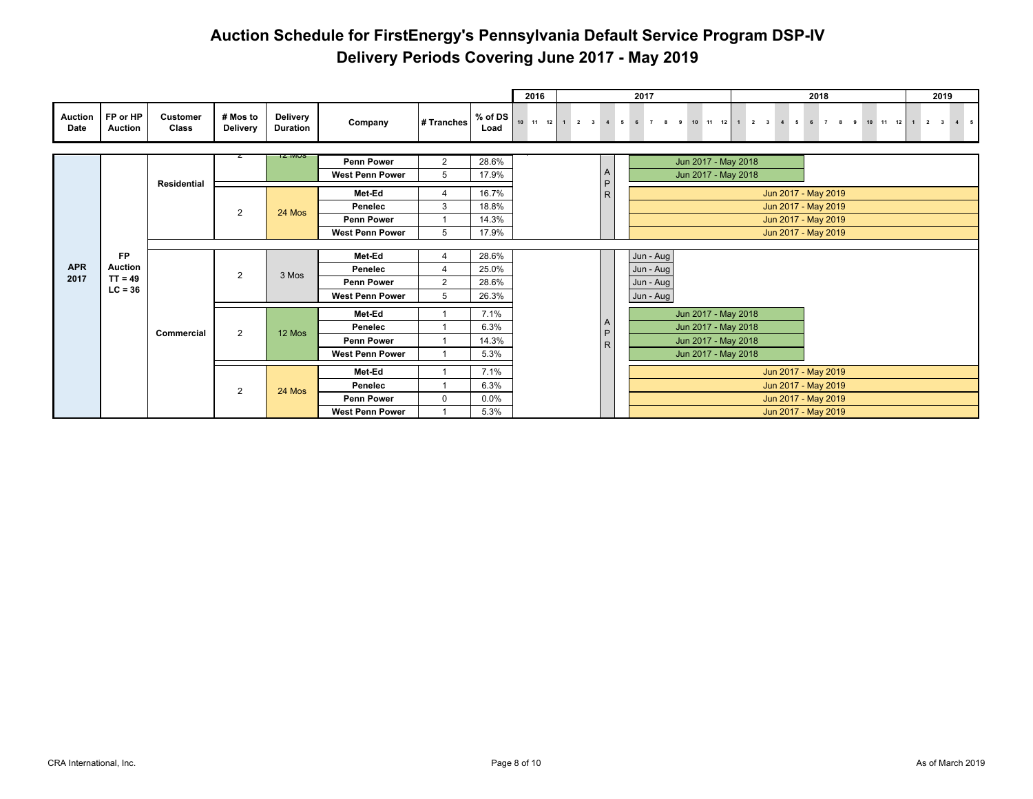|                        |                            |                          |                             |                                    |                        |                |                 | 2016             |                       |              |            | 2017      |        |                          |  |                     | 2018 |  |  |                      | 2019 |  |
|------------------------|----------------------------|--------------------------|-----------------------------|------------------------------------|------------------------|----------------|-----------------|------------------|-----------------------|--------------|------------|-----------|--------|--------------------------|--|---------------------|------|--|--|----------------------|------|--|
| <b>Auction</b><br>Date | FP or HP<br><b>Auction</b> | <b>Customer</b><br>Class | # Mos to<br><b>Delivery</b> | <b>Delivery</b><br><b>Duration</b> | Company                | # Tranches     | % of DS<br>Load | $10 \t 11 \t 12$ | $1 \qquad 2 \qquad 3$ |              | $4\quad 5$ | 6 7       | 8<br>9 | 10 11 12 1 2 3 4 5 6 7 8 |  |                     |      |  |  | 9 10 11 12 1 2 3 4 5 |      |  |
|                        |                            |                          |                             | IZ MUS                             | <b>Penn Power</b>      | 2              | 28.6%           |                  |                       |              |            |           |        | Jun 2017 - May 2018      |  |                     |      |  |  |                      |      |  |
|                        |                            |                          |                             |                                    | <b>West Penn Power</b> | 5              | 17.9%           |                  |                       | $\mathsf{A}$ |            |           |        | Jun 2017 - May 2018      |  |                     |      |  |  |                      |      |  |
|                        |                            | <b>Residential</b>       |                             |                                    |                        |                |                 |                  |                       | $\mathsf{P}$ |            |           |        |                          |  |                     |      |  |  |                      |      |  |
|                        |                            |                          |                             |                                    | Met-Ed                 | Δ              | 16.7%           |                  |                       | ${\sf R}$    |            |           |        |                          |  | Jun 2017 - May 2019 |      |  |  |                      |      |  |
|                        |                            |                          | 2                           | 24 Mos                             | Penelec                | 3              | 18.8%           |                  |                       |              |            |           |        |                          |  | Jun 2017 - May 2019 |      |  |  |                      |      |  |
|                        |                            |                          |                             |                                    | <b>Penn Power</b>      |                | 14.3%           |                  |                       |              |            |           |        |                          |  | Jun 2017 - May 2019 |      |  |  |                      |      |  |
|                        |                            |                          |                             |                                    | <b>West Penn Power</b> | 5              | 17.9%           |                  |                       |              |            |           |        |                          |  | Jun 2017 - May 2019 |      |  |  |                      |      |  |
|                        |                            |                          |                             |                                    |                        |                |                 |                  |                       |              |            |           |        |                          |  |                     |      |  |  |                      |      |  |
|                        | <b>FP</b>                  |                          |                             |                                    | Met-Ed                 | 4              | 28.6%           |                  |                       |              |            | Jun - Aug |        |                          |  |                     |      |  |  |                      |      |  |
| <b>APR</b>             | Auction                    |                          | $\overline{2}$              | 3 Mos                              | Penelec                | 4              | 25.0%           |                  |                       |              |            | Jun - Aug |        |                          |  |                     |      |  |  |                      |      |  |
| 2017                   | $TT = 49$                  |                          |                             |                                    | <b>Penn Power</b>      | $\overline{2}$ | 28.6%           |                  |                       |              |            | Jun - Aug |        |                          |  |                     |      |  |  |                      |      |  |
|                        | $LC = 36$                  |                          |                             |                                    | <b>West Penn Power</b> | 5              | 26.3%           |                  |                       |              |            | Jun - Aug |        |                          |  |                     |      |  |  |                      |      |  |
|                        |                            |                          |                             |                                    | Met-Ed                 |                | 7.1%            |                  |                       |              |            |           |        | Jun 2017 - May 2018      |  |                     |      |  |  |                      |      |  |
|                        |                            |                          |                             |                                    | Penelec                |                | 6.3%            |                  |                       | A            |            |           |        | Jun 2017 - May 2018      |  |                     |      |  |  |                      |      |  |
|                        |                            | <b>Commercial</b>        | $\overline{2}$              | 12 Mos                             | <b>Penn Power</b>      |                | 14.3%           |                  |                       | P            |            |           |        | Jun 2017 - May 2018      |  |                     |      |  |  |                      |      |  |
|                        |                            |                          |                             |                                    | <b>West Penn Power</b> |                | 5.3%            |                  |                       | $\mathsf{R}$ |            |           |        | Jun 2017 - May 2018      |  |                     |      |  |  |                      |      |  |
|                        |                            |                          |                             |                                    |                        |                |                 |                  |                       |              |            |           |        |                          |  |                     |      |  |  |                      |      |  |
|                        |                            |                          |                             |                                    | Met-Ed                 |                | 7.1%            |                  |                       |              |            |           |        |                          |  | Jun 2017 - May 2019 |      |  |  |                      |      |  |
|                        |                            |                          | $\overline{2}$              | 24 Mos                             | Penelec                |                | 6.3%            |                  |                       |              |            |           |        |                          |  | Jun 2017 - May 2019 |      |  |  |                      |      |  |
|                        |                            |                          |                             |                                    | <b>Penn Power</b>      | $\Omega$       | 0.0%            |                  |                       |              |            |           |        |                          |  | Jun 2017 - May 2019 |      |  |  |                      |      |  |
|                        |                            |                          |                             |                                    | <b>West Penn Power</b> |                | 5.3%            |                  |                       |              |            |           |        |                          |  | Jun 2017 - May 2019 |      |  |  |                      |      |  |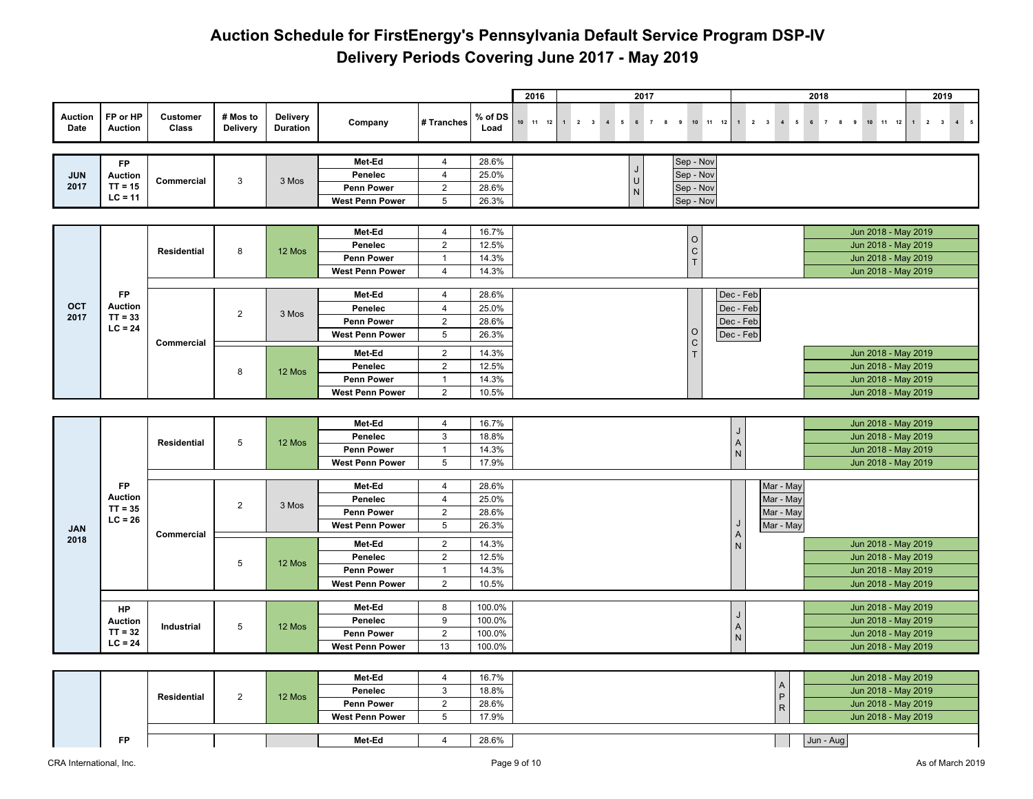|                        |                             |                          |                             |                             |                                             |                                |                 | 2016             |                                                       | 2017                                   |                        |                                       | 2018                                          |                                            | 2019                                |
|------------------------|-----------------------------|--------------------------|-----------------------------|-----------------------------|---------------------------------------------|--------------------------------|-----------------|------------------|-------------------------------------------------------|----------------------------------------|------------------------|---------------------------------------|-----------------------------------------------|--------------------------------------------|-------------------------------------|
| <b>Auction</b><br>Date | FP or HP<br><b>Auction</b>  | <b>Customer</b><br>Class | # Mos to<br><b>Delivery</b> | <b>Delivery</b><br>Duration | Company                                     | # Tranches                     | % of DS<br>Load | $10 \t 11 \t 12$ | 1<br>$2 \quad 3$<br>$\overline{4}$<br>$5\phantom{.0}$ | $6\overline{6}$<br>$\overline{7}$<br>8 | 10 11 12<br>9          | $1 \qquad 2 \qquad 3$<br>$4\quad 5$   | $6\overline{6}$<br>$\overline{7}$<br>$\bf{8}$ | $10$ $11$ $12$<br>9                        | $1 \quad 2 \quad 3 \quad 4 \quad 5$ |
|                        |                             |                          |                             |                             | Met-Ed                                      | 4                              | 28.6%           |                  |                                                       |                                        | Sep - Nov              |                                       |                                               |                                            |                                     |
| <b>JUN</b>             | FP<br>Auction               |                          |                             |                             | Penelec                                     | $\overline{4}$                 | 25.0%           |                  |                                                       |                                        | Sep - Nov              |                                       |                                               |                                            |                                     |
| 2017                   | $TT = 15$                   | Commercial               | $\mathbf{3}$                | 3 Mos                       | <b>Penn Power</b>                           | $\sqrt{2}$                     | 28.6%           |                  |                                                       | U                                      | Sep - Nov              |                                       |                                               |                                            |                                     |
|                        | $LC = 11$                   |                          |                             |                             | West Penn Power                             | $\overline{5}$                 | 26.3%           |                  |                                                       | N                                      | Sep - Nov              |                                       |                                               |                                            |                                     |
|                        |                             |                          |                             |                             |                                             |                                |                 |                  |                                                       |                                        |                        |                                       |                                               |                                            |                                     |
|                        |                             |                          |                             |                             | Met-Ed                                      | $\overline{4}$                 | 16.7%           |                  |                                                       |                                        |                        |                                       |                                               | Jun 2018 - May 2019                        |                                     |
|                        |                             |                          |                             |                             | Penelec                                     | $\overline{2}$                 | 12.5%           |                  |                                                       |                                        | $\circ$                |                                       |                                               | Jun 2018 - May 2019                        |                                     |
|                        |                             | Residential              | 8                           | 12 Mos                      | <b>Penn Power</b>                           | $\mathbf{1}$                   | 14.3%           |                  |                                                       |                                        | $\frac{C}{T}$          |                                       |                                               | Jun 2018 - May 2019                        |                                     |
|                        |                             |                          |                             |                             | <b>West Penn Power</b>                      | 4                              | 14.3%           |                  |                                                       |                                        |                        |                                       |                                               | Jun 2018 - May 2019                        |                                     |
|                        |                             |                          |                             |                             |                                             |                                |                 |                  |                                                       |                                        |                        |                                       |                                               |                                            |                                     |
|                        | FP                          |                          |                             |                             | Met-Ed                                      | $\overline{4}$                 | 28.6%           |                  |                                                       |                                        |                        | Dec - Feb                             |                                               |                                            |                                     |
| OCT<br>2017            | <b>Auction</b><br>$TT = 33$ |                          | $\overline{2}$              | 3 Mos                       | Penelec                                     | $\overline{4}$                 | 25.0%           |                  |                                                       |                                        |                        | Dec - Feb                             |                                               |                                            |                                     |
|                        | $LC = 24$                   |                          |                             |                             | <b>Penn Power</b>                           | $\overline{2}$                 | 28.6%           |                  |                                                       |                                        |                        | Dec - Feb                             |                                               |                                            |                                     |
|                        |                             | Commercial               |                             |                             | <b>West Penn Power</b>                      | $\overline{5}$                 | 26.3%           |                  |                                                       |                                        | $\circ$<br>$\mathsf C$ | Dec - Feb                             |                                               |                                            |                                     |
|                        |                             |                          |                             |                             | Met-Ed                                      | $\overline{2}$                 | 14.3%           |                  |                                                       |                                        | $\top$                 |                                       |                                               | Jun 2018 - May 2019                        |                                     |
|                        |                             |                          | 8                           | 12 Mos                      | Penelec                                     | $\sqrt{2}$                     | 12.5%           |                  |                                                       |                                        |                        |                                       |                                               | Jun 2018 - May 2019                        |                                     |
|                        |                             |                          |                             |                             | <b>Penn Power</b>                           | $\mathbf{1}$                   | 14.3%           |                  |                                                       |                                        |                        |                                       |                                               | Jun 2018 - May 2019                        |                                     |
|                        |                             |                          |                             |                             | West Penn Power                             | $\overline{2}$                 | 10.5%           |                  |                                                       |                                        |                        |                                       |                                               | Jun 2018 - May 2019                        |                                     |
|                        |                             |                          |                             |                             |                                             |                                |                 |                  |                                                       |                                        |                        |                                       |                                               |                                            |                                     |
|                        |                             |                          |                             |                             | Met-Ed                                      | 4                              | 16.7%           |                  |                                                       |                                        |                        |                                       |                                               | Jun 2018 - May 2019                        |                                     |
|                        |                             | Residential              | $5\phantom{.0}$             | 12 Mos                      | Penelec                                     | $\mathbf{3}$                   | 18.8%           |                  |                                                       |                                        |                        | J<br>$\boldsymbol{\mathsf{A}}$        |                                               | Jun 2018 - May 2019                        |                                     |
|                        |                             |                          |                             |                             | <b>Penn Power</b>                           | $\mathbf{1}$                   | 14.3%           |                  |                                                       |                                        |                        | ${\sf N}$                             |                                               | Jun 2018 - May 2019                        |                                     |
|                        |                             |                          |                             |                             | <b>West Penn Power</b>                      | $\sqrt{5}$                     | 17.9%           |                  |                                                       |                                        |                        |                                       |                                               | Jun 2018 - May 2019                        |                                     |
|                        | FP                          |                          |                             |                             | Met-Ed                                      | $\overline{4}$                 | 28.6%           |                  |                                                       |                                        |                        | Mar - May                             |                                               |                                            |                                     |
|                        | <b>Auction</b>              |                          |                             |                             | Penelec                                     | $\overline{4}$                 | 25.0%           |                  |                                                       |                                        |                        | Mar - May                             |                                               |                                            |                                     |
|                        | $TT = 35$                   |                          | $\overline{2}$              | 3 Mos                       | <b>Penn Power</b>                           | $\overline{2}$                 | 28.6%           |                  |                                                       |                                        |                        | Mar - May                             |                                               |                                            |                                     |
|                        | $LC = 26$                   |                          |                             |                             | <b>West Penn Power</b>                      | 5                              | 26.3%           |                  |                                                       |                                        |                        | J<br>Mar - May                        |                                               |                                            |                                     |
| <b>JAN</b><br>2018     |                             | Commercial               |                             |                             |                                             |                                |                 |                  |                                                       |                                        |                        | $\boldsymbol{\mathsf{A}}$             |                                               |                                            |                                     |
|                        |                             |                          |                             |                             | Met-Ed                                      | $\overline{2}$                 | 14.3%           |                  |                                                       |                                        |                        | ${\sf N}$                             |                                               | Jun 2018 - May 2019                        |                                     |
|                        |                             |                          | 5                           | 12 Mos                      | Penelec                                     | $\sqrt{2}$                     | 12.5%           |                  |                                                       |                                        |                        |                                       |                                               | Jun 2018 - May 2019                        |                                     |
|                        |                             |                          |                             |                             | <b>Penn Power</b><br><b>West Penn Power</b> | $\mathbf{1}$<br>$\overline{2}$ | 14.3%<br>10.5%  |                  |                                                       |                                        |                        |                                       |                                               | Jun 2018 - May 2019<br>Jun 2018 - May 2019 |                                     |
|                        |                             |                          |                             |                             |                                             |                                |                 |                  |                                                       |                                        |                        |                                       |                                               |                                            |                                     |
|                        | HP                          |                          |                             |                             | Met-Ed                                      | 8                              | 100.0%          |                  |                                                       |                                        |                        |                                       |                                               | Jun 2018 - May 2019                        |                                     |
|                        | <b>Auction</b>              |                          |                             |                             | Penelec                                     | 9                              | 100.0%          |                  |                                                       |                                        |                        | J                                     |                                               | Jun 2018 - May 2019                        |                                     |
|                        | $TT = 32$                   | Industrial               | $5\phantom{.0}$             | 12 Mos                      | <b>Penn Power</b>                           | $\overline{2}$                 | 100.0%          |                  |                                                       |                                        |                        | $\begin{array}{c} A \\ N \end{array}$ |                                               | Jun 2018 - May 2019                        |                                     |
|                        | $LC = 24$                   |                          |                             |                             | <b>West Penn Power</b>                      | 13                             | 100.0%          |                  |                                                       |                                        |                        |                                       |                                               | Jun 2018 - May 2019                        |                                     |
|                        |                             |                          |                             |                             |                                             |                                |                 |                  |                                                       |                                        |                        |                                       |                                               |                                            |                                     |
|                        |                             |                          |                             |                             | Met-Ed                                      | $\overline{4}$                 | 16.7%           |                  |                                                       |                                        |                        |                                       |                                               | Jun 2018 - May 2019                        |                                     |
|                        |                             |                          |                             |                             | Penelec                                     | $\mathbf{3}$                   | 18.8%           |                  |                                                       |                                        |                        | A                                     |                                               | Jun 2018 - May 2019                        |                                     |
|                        |                             | <b>Residential</b>       | $\overline{2}$              | 12 Mos                      | <b>Penn Power</b>                           | $\overline{2}$                 | 28.6%           |                  |                                                       |                                        |                        | $\mathsf P$<br>${\sf R}$              |                                               | Jun 2018 - May 2019                        |                                     |
|                        |                             |                          |                             |                             | <b>West Penn Power</b>                      | $\sqrt{5}$                     | 17.9%           |                  |                                                       |                                        |                        |                                       |                                               | Jun 2018 - May 2019                        |                                     |
|                        |                             |                          |                             |                             |                                             |                                |                 |                  |                                                       |                                        |                        |                                       |                                               |                                            |                                     |
|                        | FP                          |                          |                             |                             | Met-Ed                                      | 4                              | 28.6%           |                  |                                                       |                                        |                        |                                       | Jun - Aug                                     |                                            |                                     |